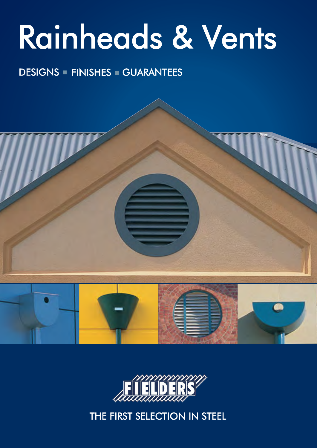# Rainheads & Vents

### DESIGNS **FINISHES GUARANTEES**





THE FIRST SELECTION IN STEEL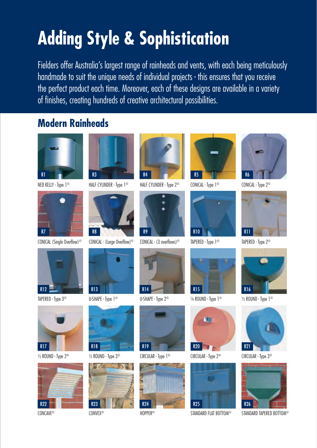### **Adding Style & Sophistication**

Fielders offer Australia's largest range of rainheads and vents, with each being meticulously handmade to suit the unique needs of individual projects - this ensures that you receive the perfect product each time. Moreover, each of these designs are available in a variety of finishes, creating hundreds of creative architectural possibilities.

### **Modern Rainheads**













NED KELLY - Type 1© HALF CYLINDER - Type 1© HALF CYLINDER - Type 2© CONICAL - Type 1© CONICAL - Type 2©









 $\frac{1}{2}$  ROUND - Type 3<sup>®</sup> CIRCULAR - Type 1<sup>©</sup> CIRCULAR - Type 2<sup>©</sup> CIRCULAR - Type 3<sup>©</sup>



































CONCAVE© CONVEX© HOPPER© STANDARD FLAT BOTTOM© STANDARD TAPERED BOTTOM©

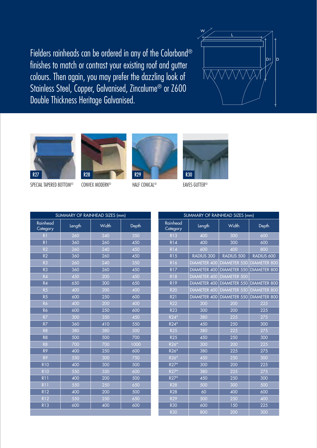Fielders rainheads can be ordered in any of the Colorbond® finishes to match or contrast your existing roof and gutter colours. Then again, you may prefer the dazzling look of Stainless Steel, Copper, Galvanised, Zincalume<sup>®</sup> or Z600 Double Thickness Heritage Galvanised.









SPECIAL TAPERED BOTTOM© CONVEX MODERN© HALF CONICAL© EAVES GUTTER©



| SUMMARY OF RAINHEAD SIZES (mm) |        |                 |       |  |
|--------------------------------|--------|-----------------|-------|--|
| Rainhead<br>Category           | Length | Width           | Depth |  |
| R <sub>1</sub>                 | 260    | 240             | 350   |  |
| R <sub>1</sub>                 | 360    | 260             | 450   |  |
| R <sub>2</sub>                 | 260    | 240             | 450   |  |
| R <sub>2</sub>                 | 360    | 260             | 450   |  |
| R <sub>3</sub>                 | 260    | 240             | 350   |  |
| R <sub>3</sub>                 | 360    | 260             | 450   |  |
| R <sub>4</sub>                 | 450    | 200             | 450   |  |
| R <sub>4</sub>                 | 650    | 300             | 650   |  |
| R5                             | 400    | 200             | 400   |  |
| R5                             | 600    | 250             | 600   |  |
| R6                             | 400    | 200             | 400   |  |
| R6                             | 600    | 250             | 600   |  |
| R <sub>7</sub>                 | 300    | 350             | 450   |  |
| RZ                             | 360    | 410             | 550   |  |
| R <sub>8</sub>                 | 380    | 380             | 500   |  |
| R <sub>8</sub>                 | 500    | 500             | 700   |  |
| R <sub>8</sub>                 | 700    | 700             | 1000  |  |
| R <sub>9</sub>                 | 400    | 250             | 600   |  |
| R <sub>9</sub>                 | 550    | 300             | 750   |  |
| <b>R10</b>                     | 400    | $\frac{300}{ }$ | 500   |  |
| <b>R10</b>                     | 550    | 350             | 600   |  |
| <b>R11</b>                     | 400    | 200             | 500   |  |
| <b>R11</b>                     | 550    | 250             | 650   |  |
| <b>R12</b>                     | 400    | 200             | 500   |  |
| <b>R12</b>                     | 550    | 250             | 650   |  |
| <b>R13</b>                     | 600    | 400             | 600   |  |

| SUMMARY OF RAINHEAD SIZES (mm) |                     |                     |                     |  |
|--------------------------------|---------------------|---------------------|---------------------|--|
| Rainhead<br>Category           | Length              | Width               | Depth               |  |
| <b>R13</b>                     | 400                 | 300                 | 600                 |  |
| <b>R14</b>                     | 400                 | 300                 | 600                 |  |
| R14                            | 600                 | 400                 | 800                 |  |
| <b>R15</b>                     | RADIUS 300          | RADIUS 500          | RADIUS 600          |  |
| <b>R16</b>                     | <b>DIAMETER 400</b> | <b>DIAMETER 550</b> | <b>DIAMETER 800</b> |  |
| <b>R17</b>                     | <b>DIAMETER 400</b> | <b>DIAMETER 550</b> | <b>DIAMETER 800</b> |  |
| <b>R18</b>                     | <b>DIAMETER 400</b> | <b>DIAMETER 500</b> |                     |  |
| <b>R19</b>                     | <b>DIAMETER 400</b> | <b>DIAMETER 550</b> | <b>DIAMETER 800</b> |  |
| <b>R20</b>                     | <b>DIAMETER 400</b> | <b>DIAMETER 550</b> | <b>DIAMETER 800</b> |  |
| R <sub>21</sub>                | <b>DIAMETER 400</b> | <b>DIAMETER 550</b> | <b>DIAMETER 800</b> |  |
| <b>R22</b>                     | 300                 | 200                 | 225                 |  |
| <b>R23</b>                     | 300                 | 200                 | 225                 |  |
| R24*                           | 380                 | 225                 | 275                 |  |
| R24*                           | 450                 | 250                 | 300                 |  |
| <b>R25</b>                     | 380                 | 225                 | 275                 |  |
| <b>R25</b>                     | 450                 | 250                 | 300                 |  |
| R26*                           | 300                 | 200                 | 225                 |  |
| R26*                           | 380                 | 225                 | 275                 |  |
| R26*                           | 450                 | 250                 | 300                 |  |
| R27*                           | 300                 | 200                 | 225                 |  |
| R27*                           | 380                 | 225                 | 275                 |  |
| R27*                           | 450                 | 250                 | 300                 |  |
| <b>R28</b>                     | 500                 | 300                 | 500                 |  |
| <b>R28</b>                     | 60                  | 400                 | 600                 |  |
| <b>R29</b>                     | 500                 | 250                 | 400                 |  |
| <b>R30</b>                     | 600                 | 150                 | 225                 |  |
| <b>R30</b>                     | 800                 | 200                 | 300                 |  |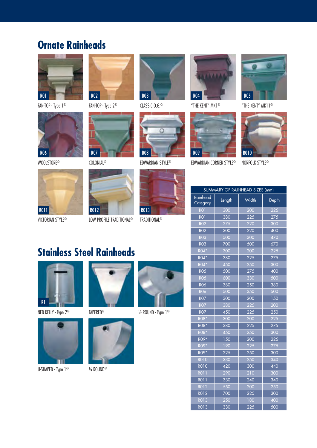### **Ornate Rainheads**









FAN-TOP - Type 1© FAN-TOP - Type 2<sup>©</sup> CLASSIC 0.6.<sup>©</sup> "THE KENT" MK1<sup>©</sup> "THE KENT" MK11©





VICTORIAN STYLE© LOW PROFILE TRADITIONAL© TRADITIONAL©







### **Stainless Steel Rainheads**





U-SHAPED - Type 1<sup>©</sup>  $\frac{1}{4}$  ROUND<sup>©</sup>











WOOLSTORE© COLONIAL© EDWARDIAN STYLE© EDWARDIAN CORNER STYLE© NORFOLK STYLE©





| SUMMARY OF RAINHEAD SIZES (mm) |               |       |       |  |
|--------------------------------|---------------|-------|-------|--|
| Rainhead<br>Category           | Length        | Width | Depth |  |
| $\overline{RO1}$               | 300           | 200   | 225   |  |
| ROI                            | 380           | 225   | 275   |  |
| RO2                            | 275           | 220   | 300   |  |
| <b>RO2</b>                     | 300           | 220   | 400   |  |
| <b>RO3</b>                     | 500           | 300   | 470   |  |
| $\overline{RO3}$               | 700           | 500   | 670   |  |
| $\overline{RO4}^*$             | 300           | 200   | 225   |  |
| RO4*                           | 380           | 225   | 275   |  |
| RO4*                           | 450           | 250   | 300   |  |
| <b>RO5</b>                     | 500           | 275   | 400   |  |
| <b>RO5</b>                     | 600           | 330   | 500   |  |
| <b>RO6</b>                     | 380           | 250   | 380   |  |
| RO6                            | 500           | 350   | 500   |  |
| $\overline{RO7}$               | 300           | 200   | 150   |  |
| <b>RO7</b>                     | 380           | 225   | 200   |  |
| <b>RO7</b>                     | 450           | 225   | 250   |  |
| $RO8*$                         | 300           | 200   | 225   |  |
| R08*                           | 380           | 225   | 275   |  |
| <b>RO8*</b>                    | 450           | 250   | 300   |  |
| R09*                           | 150           | 200   | 225   |  |
| R09*                           | 190           | 225   | 275   |  |
| R09*                           | $\frac{2}{2}$ | 250   | 300   |  |
| <b>RO10</b>                    | 330           | 250   | 340   |  |
| <b>RO10</b>                    | 420           | 300   | 440   |  |
| <b>RO11</b>                    | 290           | 210   | 300   |  |
| <b>RO11</b>                    | 330           | 240   | 340   |  |
| <b>RO12</b>                    | 550           | 200   | 250   |  |
| <b>RO12</b>                    | 700           | 225   | 300   |  |
| <b>RO13</b>                    | 250           | 180   | 400   |  |
| <b>RO13</b>                    | 330           | 225   | 500   |  |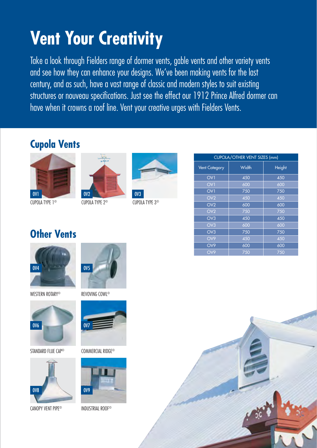### **Vent Your Creativity**

Take a look through Fielders range of dormer vents, gable vents and other variety vents and see how they can enhance your designs. We've been making vents for the last century, and as such, have a vast range of classic and modern styles to suit existing structures or nouveau specifications. Just see the effect our 1912 Prince Alfred dormer can have when it crowns a roof line. Vent your creative urges with Fielders Vents.

#### **Cupola Vents**







CUPOLA TYPE 1© CUPOLA TYPE 2© CUPOLA TYPE 3©

| 0V3 |  |  |  |
|-----|--|--|--|

| <b>CUPOLA/OTHER VENT SIZES (mm)</b> |       |        |  |
|-------------------------------------|-------|--------|--|
| <b>Vent Category</b>                | Width | Height |  |
| OV <sub>1</sub>                     | 450   | 450    |  |
| OV <sub>1</sub>                     | 600   | 600    |  |
| OV <sub>1</sub>                     | 750   | 750    |  |
| OV <sub>2</sub>                     | 450   | 450    |  |
| OV <sub>2</sub>                     | 600   | 600    |  |
| OV <sub>2</sub>                     | 750   | 750    |  |
| OV <sub>3</sub>                     | 450   | 450    |  |
| OV <sub>3</sub>                     | 600   | 600    |  |
| OV <sub>3</sub>                     | 750   | 750    |  |
| OV9                                 | 450   | 450    |  |
| OV <sub>9</sub>                     | 600   | 600    |  |
| OV9                                 | 750   | 750    |  |



**Other Vents**

WESTERN ROTARY<sup>©</sup> REVOVING COWL<sup>©</sup>



STANDARD FLUE CAP© COMMERCIAL RIDGE©



CANOPY VENT PIPE© INDUSTRIAL ROOF©







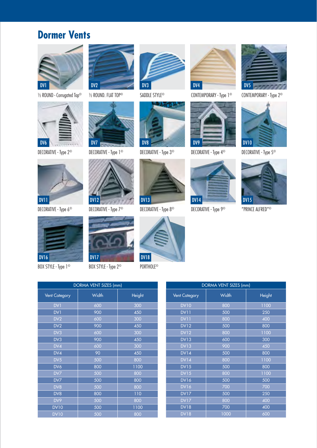### **Dormer Vents**















DECORATIVE - Type 6<sup>©</sup> DECORATIVE - Type 7<sup>©</sup> DECORATIVE - Type 8<sup>©</sup> DECORATIVE - Type 9<sup>©</sup> "PRINCE ALFRED"<sup>©</sup>







DECORATIVE - Type 2<sup>©</sup> DECORATIVE - Type 1<sup>©</sup> DECORATIVE - Type 3<sup>©</sup> DECORATIVE - Type 4<sup>©</sup> DECORATIVE - Type 5<sup>©</sup>













<sup>1</sup>/2 ROUND - Corrugated Top<sup>◎</sup> <sup>1</sup>/2 ROUND. FLAT TOP<sup>◎</sup> SADDLE STYLE<sup>©</sup> CONTEMPORARY - Type 1<sup>©</sup> CONTEMPORARY - Type 2<sup>©</sup>





| DORMA VENT SIZES (mm) |       |        |  |  |
|-----------------------|-------|--------|--|--|
| <b>Vent Category</b>  | Width | Height |  |  |
| DV <sub>1</sub>       | 600   | 300    |  |  |
| DV1                   | 900   | 450    |  |  |
| DV <sub>2</sub>       | 600   | 300    |  |  |
| DV <sub>2</sub>       | 900   | 450    |  |  |
| DV3                   | 600   | 300    |  |  |
| DV3                   | 900   | 450    |  |  |
| DV4                   | 600   | 300    |  |  |
| DV4                   | 90    | 450    |  |  |
| DV <sub>5</sub>       | 500   | 800    |  |  |
| DV6                   | 800   | 1100   |  |  |
| DV7                   | 500   | 800    |  |  |
| DV7                   | 500   | 800    |  |  |
| DV8                   | 500   | 800    |  |  |
| DV8                   | 800   | 110    |  |  |
| DV9                   | 500   | 800    |  |  |
| <b>DV10</b>           | 500   | 1100   |  |  |
| <b>DV10</b>           | 500   | 800    |  |  |

| DORMA VENT SIZES (mm) |                  |               |  |
|-----------------------|------------------|---------------|--|
| <b>Vent Category</b>  | Width            | <b>Height</b> |  |
| <b>DV10</b>           | 800              | 1100          |  |
| <b>DV11</b>           | 500              | 250           |  |
| <b>DV11</b>           | 800              | 400           |  |
| <b>DV12</b>           | 500              | 800           |  |
| <b>DV12</b>           | 800              | 1100          |  |
| <b>DV13</b>           | 600              | 300           |  |
| DVI3                  | 900              | 450           |  |
| <b>DV14</b>           | 500              | 800           |  |
| <b>DV14</b>           | 800              | 1100          |  |
| <b>DV15</b>           | 500              | 800           |  |
| <b>DV15</b>           | 800              | 1100          |  |
| <b>DV16</b>           | 500              | 500           |  |
| <b>DV16</b>           | $\overline{700}$ | 700           |  |
| <b>DV17</b>           | 500              | 250           |  |
| <b>DV17</b>           | 800              | 400           |  |
| <b>DV18</b>           | 700              | 400           |  |
| <b>DV18</b>           | 1000             | 600           |  |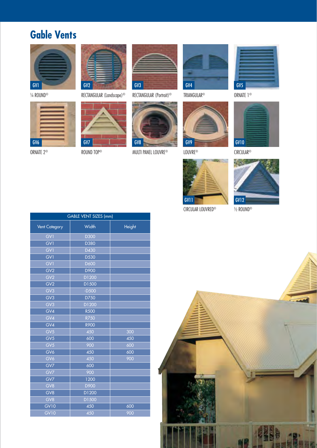### **Gable Vents**







GABLE VENT SIZES (mm)





 $ORNATE 2<sup>©</sup>$  ROUND TOP<sup>©</sup> MULTI PANEL LOUVRE<sup>©</sup> LOUVRE<sup>©</sup> CIRCULAR<sup>©</sup>